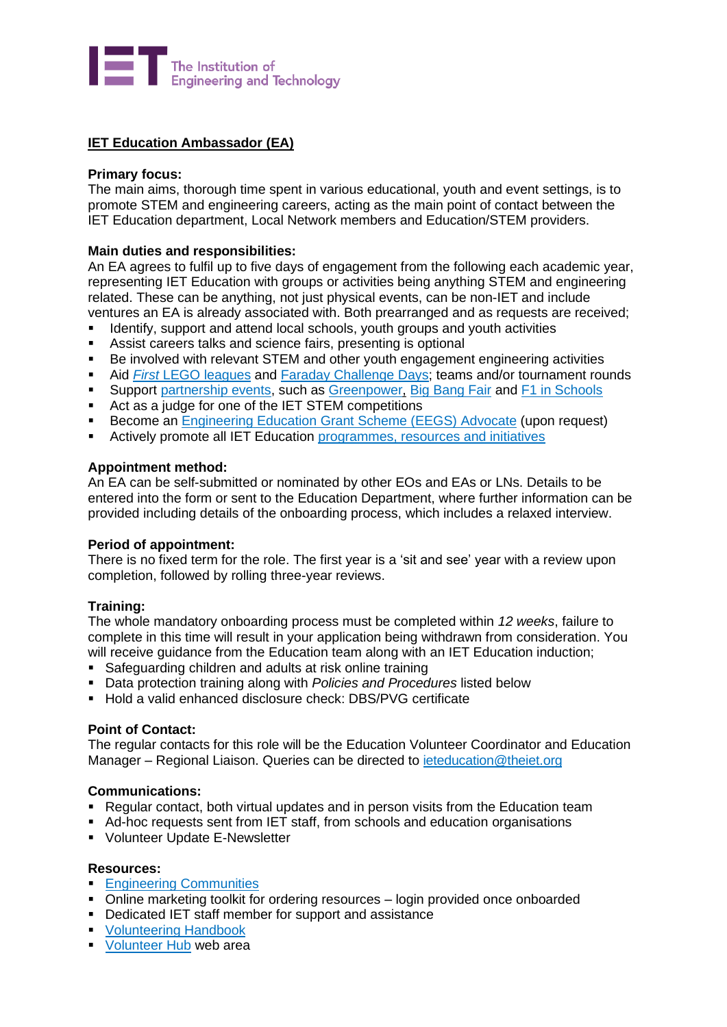

# **IET Education Ambassador (EA)**

## **Primary focus:**

The main aims, thorough time spent in various educational, youth and event settings, is to promote STEM and engineering careers, acting as the main point of contact between the IET Education department, Local Network members and Education/STEM providers.

## **Main duties and responsibilities:**

An EA agrees to fulfil up to five days of engagement from the following each academic year, representing IET Education with groups or activities being anything STEM and engineering related. These can be anything, not just physical events, can be non-IET and include ventures an EA is already associated with. Both prearranged and as requests are received;

- Identify, support and attend local schools, youth groups and youth activities
- **EXECT:** Assist careers talks and science fairs, presenting is optional
- Be involved with relevant STEM and other youth engagement engineering activities
- Aid *First* [LEGO leagues](https://education.theiet.org/first-lego-league-programmes/) and [Faraday Challenge Days;](https://education.theiet.org/faraday-challenge-days/) teams and/or tournament rounds
- Support [partnership events,](https://education.theiet.org/about-iet-education/partnerships/) such as [Greenpower,](https://www.greenpower.co.uk/greenpower-categories) [Big Bang Fair](https://www.thebigbangfair.co.uk/) and [F1 in Schools](https://www.f1inschools.co.uk/)
- Act as a judge for one of the IET STEM competitions
- Become an [Engineering Education Grant Scheme \(EEGS\) Advocate](https://education.theiet.org/funding/funding-schemes-and-bursaries/) (upon request)
- **EXECTED Actively promote all IET Education [programmes, resources and initiatives](https://education.theiet.org/)**

#### **Appointment method:**

An EA can be self-submitted or nominated by other EOs and EAs or LNs. Details to be entered into the form or sent to the Education Department, where further information can be provided including details of the onboarding process, which includes a relaxed interview.

#### **Period of appointment:**

There is no fixed term for the role. The first year is a 'sit and see' year with a review upon completion, followed by rolling three-year reviews.

#### **Training:**

The whole mandatory onboarding process must be completed within *12 weeks*, failure to complete in this time will result in your application being withdrawn from consideration. You will receive guidance from the Education team along with an IET Education induction;

- Safeguarding children and adults at risk online training
- **EXECT** Data protection training along with *Policies and Procedures* listed below
- Hold a valid enhanced disclosure check: DBS/PVG certificate

#### **Point of Contact:**

The regular contacts for this role will be the Education Volunteer Coordinator and Education Manager – Regional Liaison. Queries can be directed to [ieteducation@theiet.org](mailto:ieteducation@theiet.org)

#### **Communications:**

- Regular contact, both virtual updates and in person visits from the Education team
- Ad-hoc requests sent from IET staff, from schools and education organisations
- Volunteer Update E-Newsletter

#### **Resources:**

- **[Engineering Communities](https://www.theiet.org/membership/communities/?utm_source=advertising&utm_medium=web&utm_campaign=nlc&utm_content=adwords&gclid=Cj0KCQiAhZT9BRDmARIsAN2E-J1HipwrRBjFTWY7nnM6J0Acpa3XEC108DalZBeR8RttiS1aOod00FEaAr1OEALw_wcB)**
- Online marketing toolkit for ordering resources login provided once onboarded
- Dedicated IET staff member for support and assistance
- [Volunteering Handbook](https://www.theiet.org/involved/volunteering-for-the-iet/volunteer-hub/resources/your-guide-to-volunteering-at-the-iet/)
- [Volunteer Hub](https://www.theiet.org/involved/volunteering-for-the-iet/volunteer-hub) web area